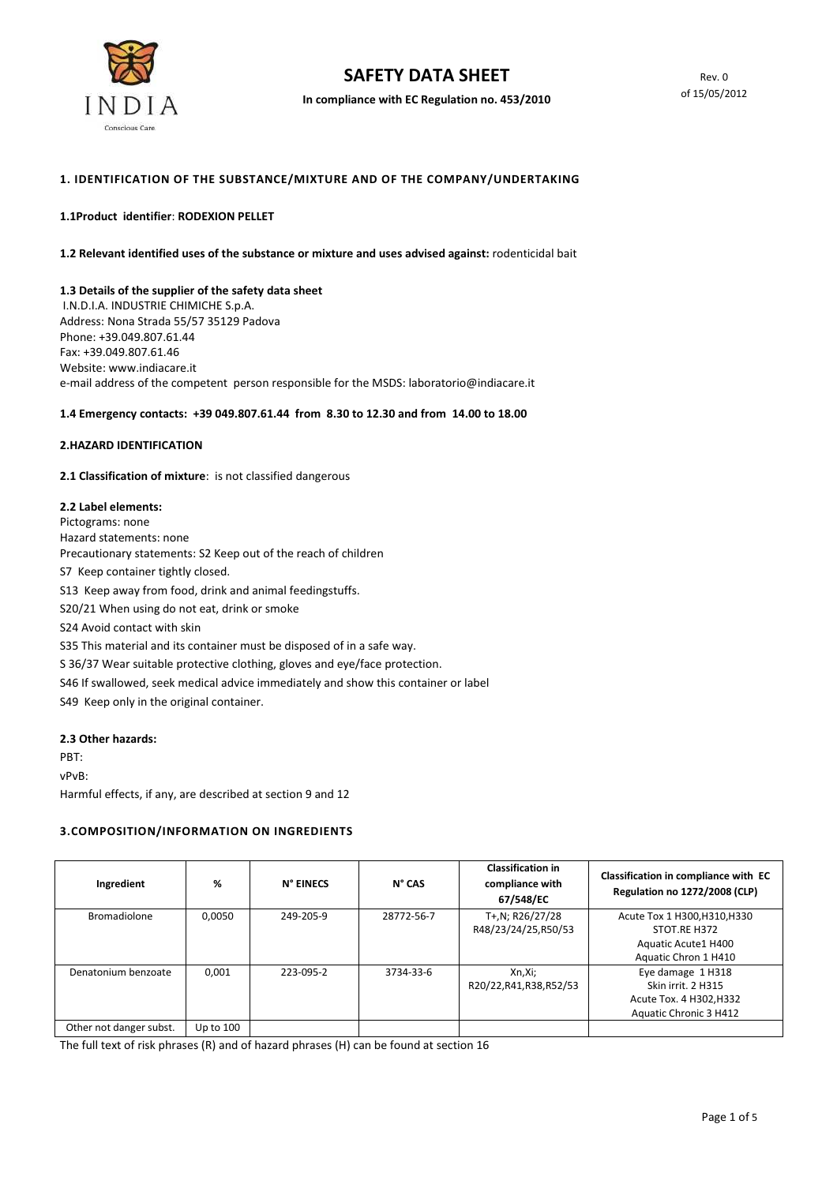

In compliance with EC Regulation no. 453/2010

## 1. IDENTIFICATION OF THE SUBSTANCE/MIXTURE AND OF THE COMPANY/UNDERTAKING

#### 1.1Product identifier: RODEXION PELLET

1.2 Relevant identified uses of the substance or mixture and uses advised against: rodenticidal bait

#### 1.3 Details of the supplier of the safety data sheet

 I.N.D.I.A. INDUSTRIE CHIMICHE S.p.A. Address: Nona Strada 55/57 35129 Padova Phone: +39.049.807.61.44 Fax: +39.049.807.61.46 Website: www.indiacare.it e-mail address of the competent person responsible for the MSDS: laboratorio@indiacare.it

#### 1.4 Emergency contacts: +39 049.807.61.44 from 8.30 to 12.30 and from 14.00 to 18.00

#### 2.HAZARD IDENTIFICATION

2.1 Classification of mixture: is not classified dangerous

#### 2.2 Label elements:

Pictograms: none Hazard statements: none Precautionary statements: S2 Keep out of the reach of children S7 Keep container tightly closed. S13 Keep away from food, drink and animal feedingstuffs. S20/21 When using do not eat, drink or smoke S24 Avoid contact with skin S35 This material and its container must be disposed of in a safe way. S 36/37 Wear suitable protective clothing, gloves and eye/face protection. S46 If swallowed, seek medical advice immediately and show this container or label S49 Keep only in the original container.

#### 2.3 Other hazards:

PBT: vPvB: Harmful effects, if any, are described at section 9 and 12

## 3.COMPOSITION/INFORMATION ON INGREDIENTS

| Ingredient              | %         | N° EINECS | $N^{\circ}$ CAS | <b>Classification in</b><br>compliance with<br>67/548/EC | Classification in compliance with EC<br><b>Regulation no 1272/2008 (CLP)</b>                 |
|-------------------------|-----------|-----------|-----------------|----------------------------------------------------------|----------------------------------------------------------------------------------------------|
| <b>Bromadiolone</b>     | 0.0050    | 249-205-9 | 28772-56-7      | T+,N; R26/27/28<br>R48/23/24/25,R50/53                   | Acute Tox 1 H300, H310, H330<br>STOT.RE H372<br>Aquatic Acute1 H400<br>Aquatic Chron 1 H410  |
| Denatonium benzoate     | 0.001     | 223-095-2 | 3734-33-6       | Xn,Xi;<br>R20/22, R41, R38, R52/53                       | Eye damage 1 H318<br>Skin irrit. 2 H315<br>Acute Tox. 4 H302, H332<br>Aquatic Chronic 3 H412 |
| Other not danger subst. | Up to 100 |           |                 |                                                          |                                                                                              |

The full text of risk phrases (R) and of hazard phrases (H) can be found at section 16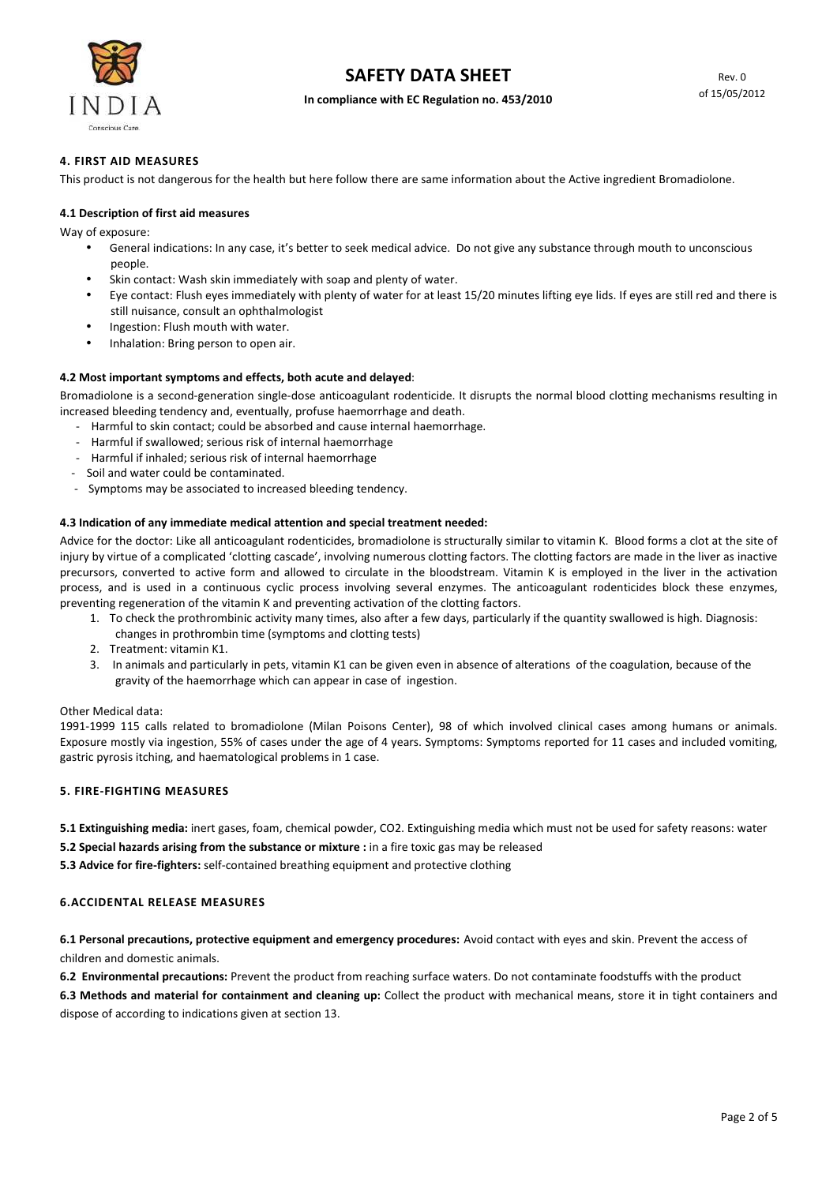

#### In compliance with EC Regulation no. 453/2010

### 4. FIRST AID MEASURES

This product is not dangerous for the health but here follow there are same information about the Active ingredient Bromadiolone.

#### 4.1 Description of first aid measures

Way of exposure:

- General indications: In any case, it's better to seek medical advice. Do not give any substance through mouth to unconscious people.
- Skin contact: Wash skin immediately with soap and plenty of water.
- Eye contact: Flush eyes immediately with plenty of water for at least 15/20 minutes lifting eye lids. If eyes are still red and there is still nuisance, consult an ophthalmologist
- Ingestion: Flush mouth with water.
- Inhalation: Bring person to open air.

#### 4.2 Most important symptoms and effects, both acute and delayed:

Bromadiolone is a second-generation single-dose anticoagulant rodenticide. It disrupts the normal blood clotting mechanisms resulting in increased bleeding tendency and, eventually, profuse haemorrhage and death.

- Harmful to skin contact; could be absorbed and cause internal haemorrhage.
- Harmful if swallowed; serious risk of internal haemorrhage
- Harmful if inhaled; serious risk of internal haemorrhage
- Soil and water could be contaminated.
- Symptoms may be associated to increased bleeding tendency.

#### 4.3 Indication of any immediate medical attention and special treatment needed:

Advice for the doctor: Like all anticoagulant rodenticides, bromadiolone is structurally similar to vitamin K. Blood forms a clot at the site of injury by virtue of a complicated 'clotting cascade', involving numerous clotting factors. The clotting factors are made in the liver as inactive precursors, converted to active form and allowed to circulate in the bloodstream. Vitamin K is employed in the liver in the activation process, and is used in a continuous cyclic process involving several enzymes. The anticoagulant rodenticides block these enzymes, preventing regeneration of the vitamin K and preventing activation of the clotting factors.

- 1. To check the prothrombinic activity many times, also after a few days, particularly if the quantity swallowed is high. Diagnosis:
- changes in prothrombin time (symptoms and clotting tests)
- 2. Treatment: vitamin K1.
- 3. In animals and particularly in pets, vitamin K1 can be given even in absence of alterations of the coagulation, because of the gravity of the haemorrhage which can appear in case of ingestion.

#### Other Medical data:

1991-1999 115 calls related to bromadiolone (Milan Poisons Center), 98 of which involved clinical cases among humans or animals. Exposure mostly via ingestion, 55% of cases under the age of 4 years. Symptoms: Symptoms reported for 11 cases and included vomiting, gastric pyrosis itching, and haematological problems in 1 case.

## 5. FIRE-FIGHTING MEASURES

5.1 Extinguishing media: inert gases, foam, chemical powder, CO2. Extinguishing media which must not be used for safety reasons: water

5.2 Special hazards arising from the substance or mixture : in a fire toxic gas may be released

5.3 Advice for fire-fighters: self-contained breathing equipment and protective clothing

#### 6.ACCIDENTAL RELEASE MEASURES

6.1 Personal precautions, protective equipment and emergency procedures: Avoid contact with eyes and skin. Prevent the access of children and domestic animals.

6.2 Environmental precautions: Prevent the product from reaching surface waters. Do not contaminate foodstuffs with the product

6.3 Methods and material for containment and cleaning up: Collect the product with mechanical means, store it in tight containers and dispose of according to indications given at section 13.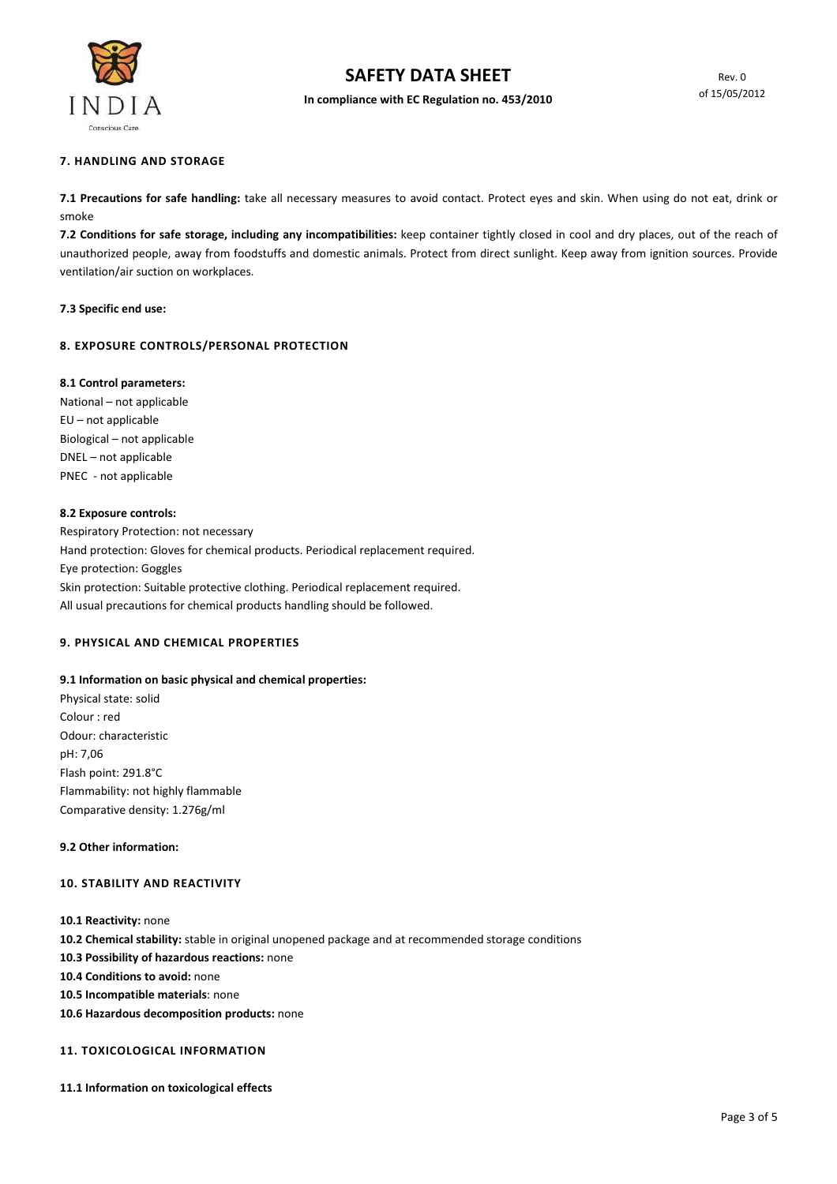

In compliance with EC Regulation no. 453/2010

#### 7. HANDLING AND STORAGE

7.1 Precautions for safe handling: take all necessary measures to avoid contact. Protect eyes and skin. When using do not eat, drink or smoke

7.2 Conditions for safe storage, including any incompatibilities: keep container tightly closed in cool and dry places, out of the reach of unauthorized people, away from foodstuffs and domestic animals. Protect from direct sunlight. Keep away from ignition sources. Provide ventilation/air suction on workplaces.

#### 7.3 Specific end use:

### 8. EXPOSURE CONTROLS/PERSONAL PROTECTION

#### 8.1 Control parameters:

National – not applicable EU – not applicable Biological – not applicable DNEL – not applicable PNEC - not applicable

#### 8.2 Exposure controls:

Respiratory Protection: not necessary Hand protection: Gloves for chemical products. Periodical replacement required. Eye protection: Goggles Skin protection: Suitable protective clothing. Periodical replacement required. All usual precautions for chemical products handling should be followed.

### 9. PHYSICAL AND CHEMICAL PROPERTIES

## 9.1 Information on basic physical and chemical properties: Physical state: solid Colour : red Odour: characteristic pH: 7,06 Flash point: 291.8°C Flammability: not highly flammable Comparative density: 1.276g/ml

## 9.2 Other information:

## 10. STABILITY AND REACTIVITY

- 10.1 Reactivity: none
- 10.2 Chemical stability: stable in original unopened package and at recommended storage conditions
- 10.3 Possibility of hazardous reactions: none
- 10.4 Conditions to avoid: none
- 10.5 Incompatible materials: none
- 10.6 Hazardous decomposition products: none

## 11. TOXICOLOGICAL INFORMATION

11.1 Information on toxicological effects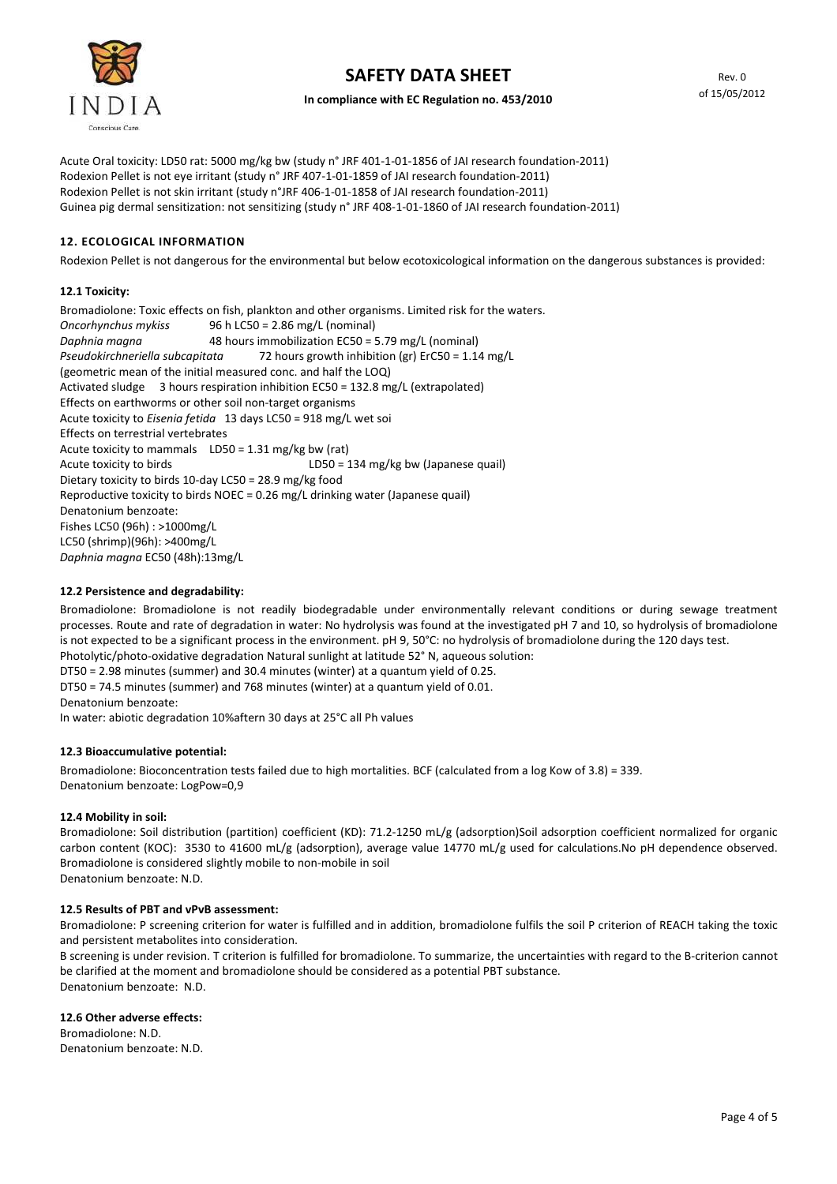

Acute Oral toxicity: LD50 rat: 5000 mg/kg bw (study n° JRF 401-1-01-1856 of JAI research foundation-2011) Rodexion Pellet is not eye irritant (study n° JRF 407-1-01-1859 of JAI research foundation-2011) Rodexion Pellet is not skin irritant (study n°JRF 406-1-01-1858 of JAI research foundation-2011) Guinea pig dermal sensitization: not sensitizing (study n° JRF 408-1-01-1860 of JAI research foundation-2011)

## 12. ECOLOGICAL INFORMATION

Rodexion Pellet is not dangerous for the environmental but below ecotoxicological information on the dangerous substances is provided:

## 12.1 Toxicity:

Bromadiolone: Toxic effects on fish, plankton and other organisms. Limited risk for the waters. Oncorhynchus mykiss 96 h LC50 = 2.86 mg/L (nominal) Daphnia magna 48 hours immobilization EC50 = 5.79 mg/L (nominal) Pseudokirchneriella subcapitata 72 hours growth inhibition (gr) ErC50 = 1.14 mg/L (geometric mean of the initial measured conc. and half the LOQ) Activated sludge 3 hours respiration inhibition EC50 = 132.8 mg/L (extrapolated) Effects on earthworms or other soil non-target organisms Acute toxicity to Eisenia fetida 13 days LC50 = 918 mg/L wet soi Effects on terrestrial vertebrates Acute toxicity to mammals LD50 = 1.31 mg/kg bw (rat) Acute toxicity to birds LD50 = 134 mg/kg bw (Japanese quail) Dietary toxicity to birds 10-day LC50 = 28.9 mg/kg food Reproductive toxicity to birds NOEC = 0.26 mg/L drinking water (Japanese quail) Denatonium benzoate: Fishes LC50 (96h) : >1000mg/L LC50 (shrimp)(96h): >400mg/L Daphnia magna EC50 (48h):13mg/L

## 12.2 Persistence and degradability:

Bromadiolone: Bromadiolone is not readily biodegradable under environmentally relevant conditions or during sewage treatment processes. Route and rate of degradation in water: No hydrolysis was found at the investigated pH 7 and 10, so hydrolysis of bromadiolone is not expected to be a significant process in the environment. pH 9, 50°C: no hydrolysis of bromadiolone during the 120 days test. Photolytic/photo-oxidative degradation Natural sunlight at latitude 52° N, aqueous solution:

DT50 = 2.98 minutes (summer) and 30.4 minutes (winter) at a quantum yield of 0.25.

DT50 = 74.5 minutes (summer) and 768 minutes (winter) at a quantum yield of 0.01.

Denatonium benzoate:

In water: abiotic degradation 10%aftern 30 days at 25°C all Ph values

### 12.3 Bioaccumulative potential:

Bromadiolone: Bioconcentration tests failed due to high mortalities. BCF (calculated from a log Kow of 3.8) = 339. Denatonium benzoate: LogPow=0,9

### 12.4 Mobility in soil:

Bromadiolone: Soil distribution (partition) coefficient (KD): 71.2-1250 mL/g (adsorption)Soil adsorption coefficient normalized for organic carbon content (KOC): 3530 to 41600 mL/g (adsorption), average value 14770 mL/g used for calculations.No pH dependence observed. Bromadiolone is considered slightly mobile to non-mobile in soil Denatonium benzoate: N.D.

## 12.5 Results of PBT and vPvB assessment:

Bromadiolone: P screening criterion for water is fulfilled and in addition, bromadiolone fulfils the soil P criterion of REACH taking the toxic and persistent metabolites into consideration.

B screening is under revision. T criterion is fulfilled for bromadiolone. To summarize, the uncertainties with regard to the B-criterion cannot be clarified at the moment and bromadiolone should be considered as a potential PBT substance. Denatonium benzoate: N.D.

### 12.6 Other adverse effects:

Bromadiolone: N.D. Denatonium benzoate: N.D.